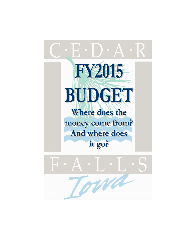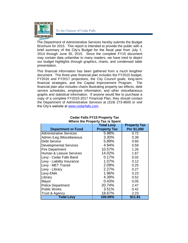

The Department of Administrative Services hereby submits the Budget Brochure for 2015. This report is intended to provide the public with a brief summary of the City's Budget for the fiscal year from July 1, 2014 through June 30, 2015. Since the complete FY15 document may contain data unfamiliar to many readers, we have tried to depict our budget highlights through graphics, charts, and condensed table presentation.

This financial information has been gathered from a much lengthier document. The three-year financial plan includes the FY2015 budget, FY2016 and FY2017 projections, the City Council goals, long-term financial strategies, and the Capital Improvement Program. The financial plan also includes charts illustrating property tax effects, debt service schedules, employee information, and other miscellaneous graphs and statistical information. If anyone would like to purchase a copy of a complete FY2015-2017 Financial Plan, they should contact the Department of Administrative Services at (319) 273-8600 or visit the City's website at [www.cedarfalls.com.](http://www.cedarfalls.com/)

|                                | <b>Total Levy</b>   | <b>Property Tax</b> |
|--------------------------------|---------------------|---------------------|
| <b>Department or Fund</b>      | <b>Property Tax</b> | Per \$1,000         |
| <b>Administrative Services</b> | 5.98%               | 0.72                |
| Admin./Leg./Miscellaneous      | 3.30%               | 0.39                |
| <b>Debt Service</b>            | 5.89%               | 0.60                |
| <b>Developmental Services</b>  | 4.94%               | 0.59                |
| <b>Fire Department</b>         | 10.57%              | 1.26                |
| Human & Leisure Services       | 14.02%              | 1.67                |
| Levy - Cedar Falls Band        | 0.17%               | 0.02                |
| Levy - Liability Insurance     | 1.07%               | 0.12                |
| Levy - MET Transit             | 2.09%               | 0.25                |
| Levy - Library                 | 2.27%               | 0.27                |
| Levy-EMA                       | 1.96%               | 0.23                |
| Library                        | 4.39%               | 0.52                |
| Mayor                          | 0.43%               | 0.05                |
| <b>Police Department</b>       | 20.74%              | 2.47                |
| <b>Public Works</b>            | 3.51%               | 0.42                |
| Trust & Agency                 | 18.67%              | 2.23                |
| Total Levy                     | 100.00%             | \$11.81             |

#### **Cedar Falls FY15 Property Tax Where the Property Tax is Spent**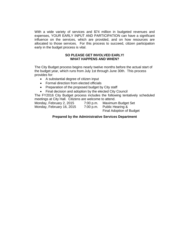With a wide variety of services and \$74 million in budgeted revenues and expenses, YOUR EARLY INPUT AND PARTICIPATION can have a significant influence on the services, which are provided, and on how resources are allocated to those services. For this process to succeed, citizen participation early in the budget process is vital.

### **SO PLEASE GET INVOLVED EARLY! WHAT HAPPENS AND WHEN?**

The City Budget process begins nearly twelve months before the actual start of the budget year, which runs from July 1st through June 30th. This process provides for:

- A substantial degree of citizen input
- Formal direction from elected officials
- Preparation of the proposed budget by City staff
- Final decision and adoption by the elected City Council

The FY2016 City Budget process includes the following tentatively scheduled meetings at City Hall. Citizens are welcome to attend.

| Monday, February 2, 2015  | $7:00$ p.m. | Maximum Budget Set       |
|---------------------------|-------------|--------------------------|
| Monday, February 16, 2015 | $7:00$ p.m. | Public Hearing &         |
|                           |             | Final Adoption of Budget |

# **Prepared by the Administrative Services Department**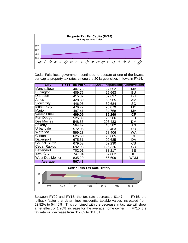

Cedar Falls local government continued to operate at one of the lowest per capita property tax rates among the 20 largest cities in Iowa in FY14.

| <b>City</b>            | <b>FY14 Tax Per Capita 2010 Population Abbreviation</b> |         |                 |
|------------------------|---------------------------------------------------------|---------|-----------------|
| Marshalltown           | 407.78                                                  | 27,552  | МA              |
| <b>Burlington</b>      | 409.75                                                  | 25,663  | <b>BU</b>       |
| <b>Dubuque</b>         | 415.32                                                  | 57,637  | <b>DU</b>       |
| Ames                   | 428.30                                                  | 58,965  | AM              |
| <b>Sioux City</b>      | 446.96                                                  | 82,684  | <b>SC</b>       |
| Mason City             | 476.77                                                  | 28,079  | MC              |
| Marion                 | 497.41                                                  | 34,768  | МA              |
| <b>Cedar Falls</b>     | 499.09                                                  | 39,260  | <b>CF</b>       |
| <b>Fort Dodge</b>      | 525.09                                                  | 25,206  | FD              |
| Des Moines             | 548.56                                                  | 203,433 | <b>DM</b>       |
| Ankeny                 | 564.47                                                  | 45,582  | <b>AN</b>       |
| <b>Urbandale</b>       | 572.06                                                  | 39,463  | <b>UR</b>       |
| Waterloo               | 599.23                                                  | 68,406  | <b>WA</b>       |
| Clinton                | 625.60                                                  | 26,885  | CL              |
| <b>Davenport</b>       | 675.51                                                  | 99,685  | DA              |
| <b>Council Bluffs</b>  | 679.53                                                  | 62,230  | $\overline{CB}$ |
| <b>Cedar Rapids</b>    | 692.98                                                  | 126,326 | <b>CR</b>       |
| <b>Bettendorf</b>      | 702.01                                                  | 33,217  | ВE              |
| <b>lowa City</b>       | 747.94                                                  | 67,862  | $\overline{C}$  |
| <b>West Des Moines</b> | 835.20                                                  | 56,609  | <b>WDM</b>      |
| <b>Average</b>         | 567.48                                                  |         |                 |



Between FY09 and FY15, the tax rate decreased \$1.47. In FY15, the rollback factor that determines residential taxable values increased from 52.82% to 54.40%. This combined with the decrease in tax rate will show a net effect of 1.20% increase for the average home owner. In FY15, the tax rate will decrease from \$12.02 to \$11.81.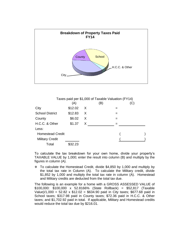



To calculate the tax breakdown for your own home, divide your property's TAXABLE VALUE by 1,000; enter the result into column (B) and multiply by the figures in column (A).

\* To calculate the Homestead Credit, divide \$4,850 by 1,000 and multiply by the total tax rate in Column (A). To calculate the Military credit, divide \$1,852 by 1,000 and multiply the total tax rate in column (A). Homestead and Military credits are deducted from the total tax due.

The following is an example for a home with a GROSS ASSESSED VALUE of \$100,000: \$100,000 x 52.8166% (State Rollback) = \$52,817 (Taxable Value)/1,000 = 52.82 x \$12.02 = \$634.90 paid in City taxes; \$677.68 paid in School taxes; \$317.98 paid in County taxes; \$72.36 paid in H.C.C. & Other taxes; and \$1,702.92 paid in total. If applicable, Military and Homestead credits would reduce the total tax due by \$216.01.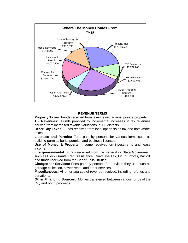

# **REVENUE TERMS**

**Property Taxes:** Funds received from taxes levied against private property. **TIF Revenues:** Funds provided by incremental increases in tax revenues derived from increased taxable valuations in TIF districts.

**Other City Taxes:** Funds received from local option sales tax and hotel/motel taxes.

**Licenses and Permits:** Fees paid by persons for various items such as building permits, burial permits, and business licenses.

**Use of Money & Property:** Income received on investments and lease income.

**Intergovernmental:** Funds received from the Federal or State Government such as Block Grants, Rent Assistance, Road Use Tax, Liquor Profits, Backfill and funds received from the Cedar Falls Utilities.

**Charges for Services:** Fees paid by persons for services they use such as garbage collection, sewer rental and other services.

**Miscellaneous:** All other sources of revenue received, including refunds and donations.

**Other Financing Sources:** Monies transferred between various funds of the City and bond proceeds.